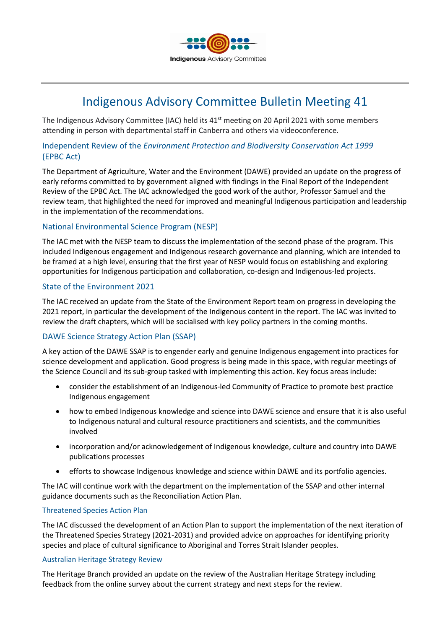

# Indigenous Advisory Committee Bulletin Meeting 41

The Indigenous Advisory Committee (IAC) held its 41<sup>st</sup> meeting on 20 April 2021 with some members attending in person with departmental staff in Canberra and others via videoconference.

# Independent Review of the *Environment Protection and Biodiversity Conservation Act 1999* (EPBC Act)

The Department of Agriculture, Water and the Environment (DAWE) provided an update on the progress of early reforms committed to by government aligned with findings in the Final Report of the Independent Review of the EPBC Act. The IAC acknowledged the good work of the author, Professor Samuel and the review team, that highlighted the need for improved and meaningful Indigenous participation and leadership in the implementation of the recommendations.

## National Environmental Science Program (NESP)

The IAC met with the NESP team to discuss the implementation of the second phase of the program. This included Indigenous engagement and Indigenous research governance and planning, which are intended to be framed at a high level, ensuring that the first year of NESP would focus on establishing and exploring opportunities for Indigenous participation and collaboration, co-design and Indigenous-led projects.

## State of the Environment 2021

The IAC received an update from the State of the Environment Report team on progress in developing the 2021 report, in particular the development of the Indigenous content in the report. The IAC was invited to review the draft chapters, which will be socialised with key policy partners in the coming months.

# DAWE Science Strategy Action Plan (SSAP)

A key action of the DAWE SSAP is to engender early and genuine Indigenous engagement into practices for science development and application. Good progress is being made in this space, with regular meetings of the Science Council and its sub-group tasked with implementing this action. Key focus areas include:

- consider the establishment of an Indigenous-led Community of Practice to promote best practice Indigenous engagement
- how to embed Indigenous knowledge and science into DAWE science and ensure that it is also useful to Indigenous natural and cultural resource practitioners and scientists, and the communities involved
- incorporation and/or acknowledgement of Indigenous knowledge, culture and country into DAWE publications processes
- efforts to showcase Indigenous knowledge and science within DAWE and its portfolio agencies.

The IAC will continue work with the department on the implementation of the SSAP and other internal guidance documents such as the Reconciliation Action Plan.

## Threatened Species Action Plan

The IAC discussed the development of an Action Plan to support the implementation of the next iteration of the Threatened Species Strategy (2021-2031) and provided advice on approaches for identifying priority species and place of cultural significance to Aboriginal and Torres Strait Islander peoples.

## Australian Heritage Strategy Review

The Heritage Branch provided an update on the review of the Australian Heritage Strategy including feedback from the online survey about the current strategy and next steps for the review.